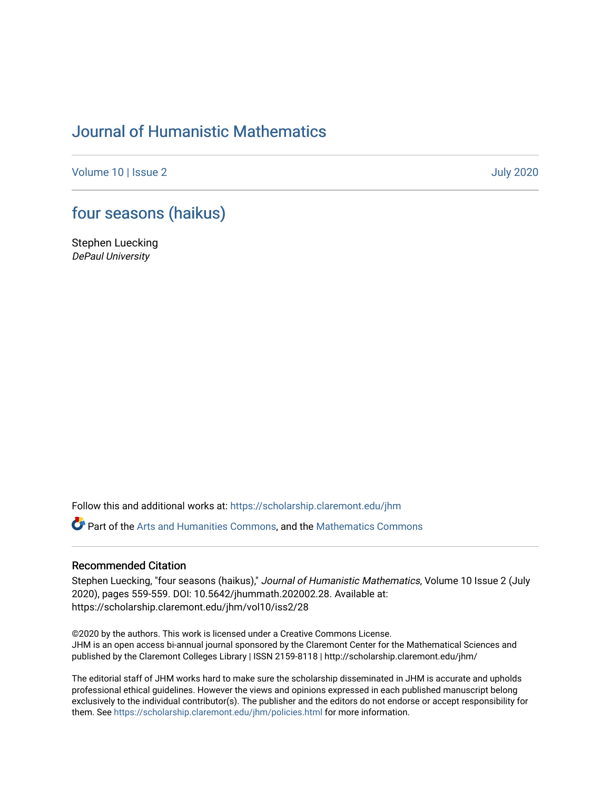## [Journal of Humanistic Mathematics](https://scholarship.claremont.edu/jhm)

[Volume 10](https://scholarship.claremont.edu/jhm/vol10) | [Issue 2 July 2020](https://scholarship.claremont.edu/jhm/vol10/iss2) 

## [four seasons \(haikus\)](https://scholarship.claremont.edu/jhm/vol10/iss2/28)

Stephen Luecking DePaul University

Follow this and additional works at: [https://scholarship.claremont.edu/jhm](https://scholarship.claremont.edu/jhm?utm_source=scholarship.claremont.edu%2Fjhm%2Fvol10%2Fiss2%2F28&utm_medium=PDF&utm_campaign=PDFCoverPages)

Part of the [Arts and Humanities Commons,](http://network.bepress.com/hgg/discipline/438?utm_source=scholarship.claremont.edu%2Fjhm%2Fvol10%2Fiss2%2F28&utm_medium=PDF&utm_campaign=PDFCoverPages) and the [Mathematics Commons](http://network.bepress.com/hgg/discipline/174?utm_source=scholarship.claremont.edu%2Fjhm%2Fvol10%2Fiss2%2F28&utm_medium=PDF&utm_campaign=PDFCoverPages) 

## Recommended Citation

Stephen Luecking, "four seasons (haikus)," Journal of Humanistic Mathematics, Volume 10 Issue 2 (July 2020), pages 559-559. DOI: 10.5642/jhummath.202002.28. Available at: https://scholarship.claremont.edu/jhm/vol10/iss2/28

©2020 by the authors. This work is licensed under a Creative Commons License. JHM is an open access bi-annual journal sponsored by the Claremont Center for the Mathematical Sciences and published by the Claremont Colleges Library | ISSN 2159-8118 | http://scholarship.claremont.edu/jhm/

The editorial staff of JHM works hard to make sure the scholarship disseminated in JHM is accurate and upholds professional ethical guidelines. However the views and opinions expressed in each published manuscript belong exclusively to the individual contributor(s). The publisher and the editors do not endorse or accept responsibility for them. See<https://scholarship.claremont.edu/jhm/policies.html> for more information.